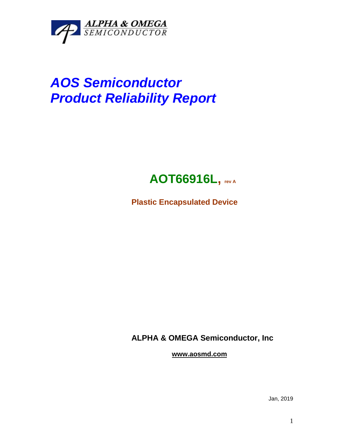

# *AOS Semiconductor Product Reliability Report*



**Plastic Encapsulated Device**

**ALPHA & OMEGA Semiconductor, Inc**

**www.aosmd.com**

Jan, 2019